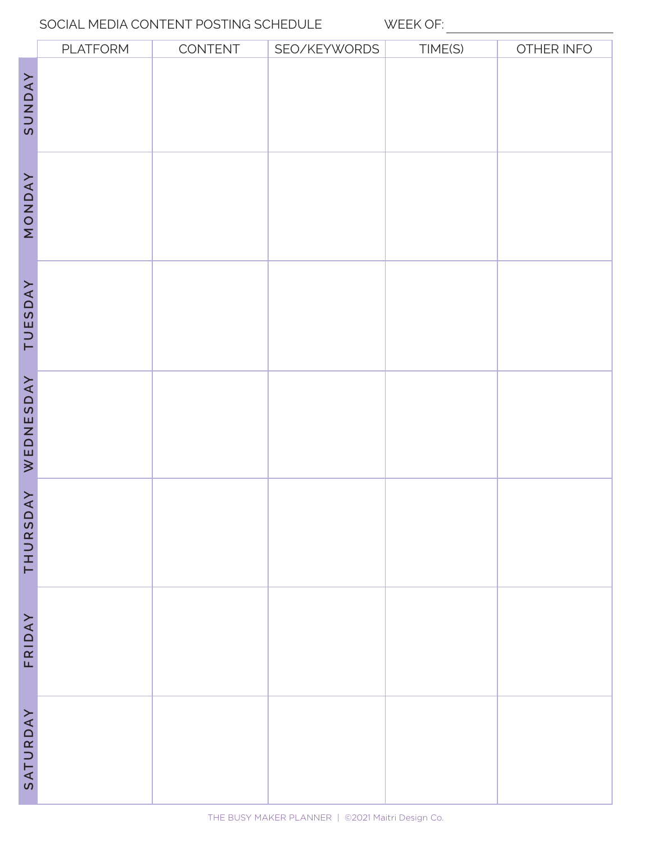#### SOCIAL MEDIA CONTENT POSTING SCHEDULE WEEK OF:

|                     | PLATFORM | CONTENT | SEO/KEYWORDS | TIME(S) | OTHER INFO |
|---------------------|----------|---------|--------------|---------|------------|
| SUNDAY              |          |         |              |         |            |
| NONDAY              |          |         |              |         |            |
| TUESDAY             |          |         |              |         |            |
| WEDNESDAY           |          |         |              |         |            |
| $\forall$<br>THURSD |          |         |              |         |            |
| FRIDAY              |          |         |              |         |            |
| SATURDAY            |          |         |              |         |            |